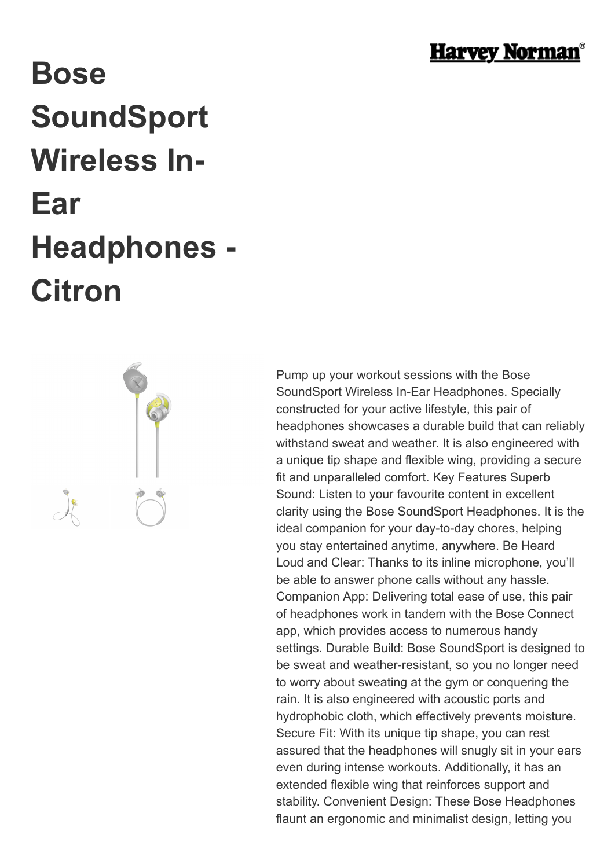

## **Bose SoundSport Wireless In-Ear Headphones - Citron**



Pump up your workout sessions with the Bose SoundSport Wireless In-Ear Headphones. Specially constructed for your active lifestyle, this pair of headphones showcases a durable build that can reliably withstand sweat and weather. It is also engineered with a unique tip shape and flexible wing, providing a secure fit and unparalleled comfort. Key Features Superb Sound: Listen to your favourite content in excellent clarity using the Bose SoundSport Headphones. It is the ideal companion for your day-to-day chores, helping you stay entertained anytime, anywhere. Be Heard Loud and Clear: Thanks to its inline microphone, you'll be able to answer phone calls without any hassle. Companion App: Delivering total ease of use, this pair of headphones work in tandem with the Bose Connect app, which provides access to numerous handy settings. Durable Build: Bose SoundSport is designed to be sweat and weather-resistant, so you no longer need to worry about sweating at the gym or conquering the rain. It is also engineered with acoustic ports and hydrophobic cloth, which effectively prevents moisture. Secure Fit: With its unique tip shape, you can rest assured that the headphones will snugly sit in your ears even during intense workouts. Additionally, it has an extended flexible wing that reinforces support and stability. Convenient Design: These Bose Headphones flaunt an ergonomic and minimalist design, letting you